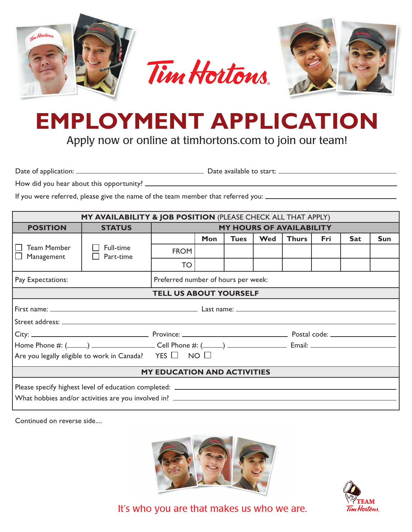

## **EMPLOYMENT APPLICATION**

Apply now or online at timhortons.com to join our team!

Date of application: Date available to start:

How did you hear about this opportunity?

If you were referred, please give the name of the team member that referred you:

| MY AVAILABILITY & JOB POSITION (PLEASE CHECK ALL THAT APPLY)     |                        |                                     |            |             |     |              |     |            |            |
|------------------------------------------------------------------|------------------------|-------------------------------------|------------|-------------|-----|--------------|-----|------------|------------|
| <b>POSITION</b>                                                  | <b>STATUS</b>          | <b>MY HOURS OF AVAILABILITY</b>     |            |             |     |              |     |            |            |
|                                                                  |                        |                                     | <b>Mon</b> | <b>Tues</b> | Wed | <b>Thurs</b> | Fri | <b>Sat</b> | <b>Sun</b> |
| <b>Team Member</b><br>Management                                 | Full-time<br>Part-time | <b>FROM</b>                         |            |             |     |              |     |            |            |
|                                                                  |                        | TO                                  |            |             |     |              |     |            |            |
| Pay Expectations:                                                |                        | Preferred number of hours per week: |            |             |     |              |     |            |            |
| <b>TELL US ABOUT YOURSELF</b>                                    |                        |                                     |            |             |     |              |     |            |            |
|                                                                  |                        |                                     |            |             |     |              |     |            |            |
|                                                                  |                        |                                     |            |             |     |              |     |            |            |
|                                                                  |                        |                                     |            |             |     |              |     |            |            |
| Are you legally eligible to work in Canada? YES $\Box$ NO $\Box$ |                        |                                     |            |             |     |              |     |            |            |
| <b>MY EDUCATION AND ACTIVITIES</b>                               |                        |                                     |            |             |     |              |     |            |            |
|                                                                  |                        |                                     |            |             |     |              |     |            |            |

Continued on reverse side....





It's who you are that makes us who we are.